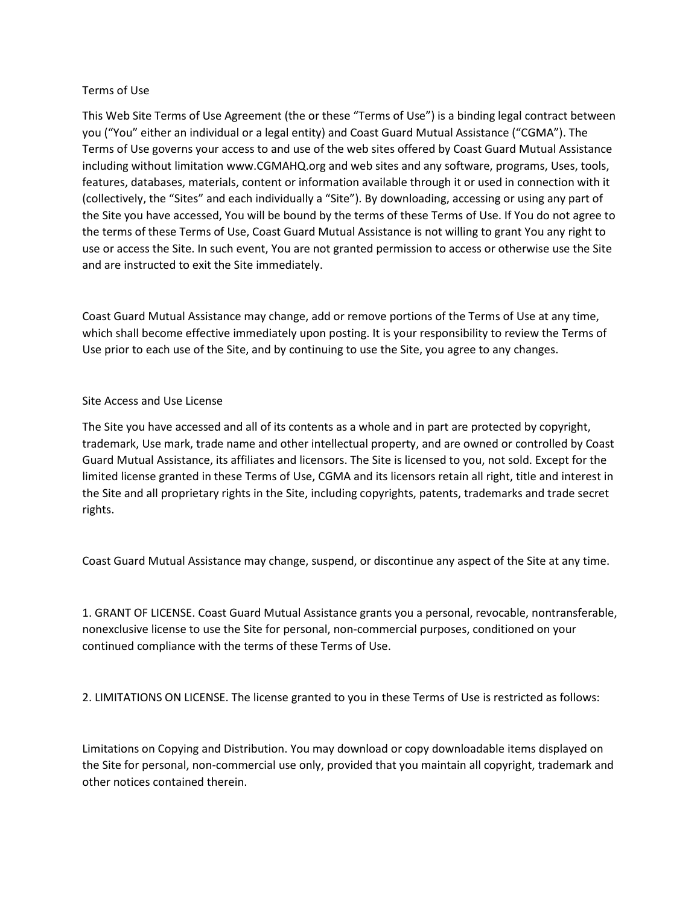## Terms of Use

This Web Site Terms of Use Agreement (the or these "Terms of Use") is a binding legal contract between you ("You" either an individual or a legal entity) and Coast Guard Mutual Assistance ("CGMA"). The Terms of Use governs your access to and use of the web sites offered by Coast Guard Mutual Assistance including without limitation www.CGMAHQ.org and web sites and any software, programs, Uses, tools, features, databases, materials, content or information available through it or used in connection with it (collectively, the "Sites" and each individually a "Site"). By downloading, accessing or using any part of the Site you have accessed, You will be bound by the terms of these Terms of Use. If You do not agree to the terms of these Terms of Use, Coast Guard Mutual Assistance is not willing to grant You any right to use or access the Site. In such event, You are not granted permission to access or otherwise use the Site and are instructed to exit the Site immediately.

Coast Guard Mutual Assistance may change, add or remove portions of the Terms of Use at any time, which shall become effective immediately upon posting. It is your responsibility to review the Terms of Use prior to each use of the Site, and by continuing to use the Site, you agree to any changes.

## Site Access and Use License

The Site you have accessed and all of its contents as a whole and in part are protected by copyright, trademark, Use mark, trade name and other intellectual property, and are owned or controlled by Coast Guard Mutual Assistance, its affiliates and licensors. The Site is licensed to you, not sold. Except for the limited license granted in these Terms of Use, CGMA and its licensors retain all right, title and interest in the Site and all proprietary rights in the Site, including copyrights, patents, trademarks and trade secret rights.

Coast Guard Mutual Assistance may change, suspend, or discontinue any aspect of the Site at any time.

1. GRANT OF LICENSE. Coast Guard Mutual Assistance grants you a personal, revocable, nontransferable, nonexclusive license to use the Site for personal, non-commercial purposes, conditioned on your continued compliance with the terms of these Terms of Use.

2. LIMITATIONS ON LICENSE. The license granted to you in these Terms of Use is restricted as follows:

Limitations on Copying and Distribution. You may download or copy downloadable items displayed on the Site for personal, non-commercial use only, provided that you maintain all copyright, trademark and other notices contained therein.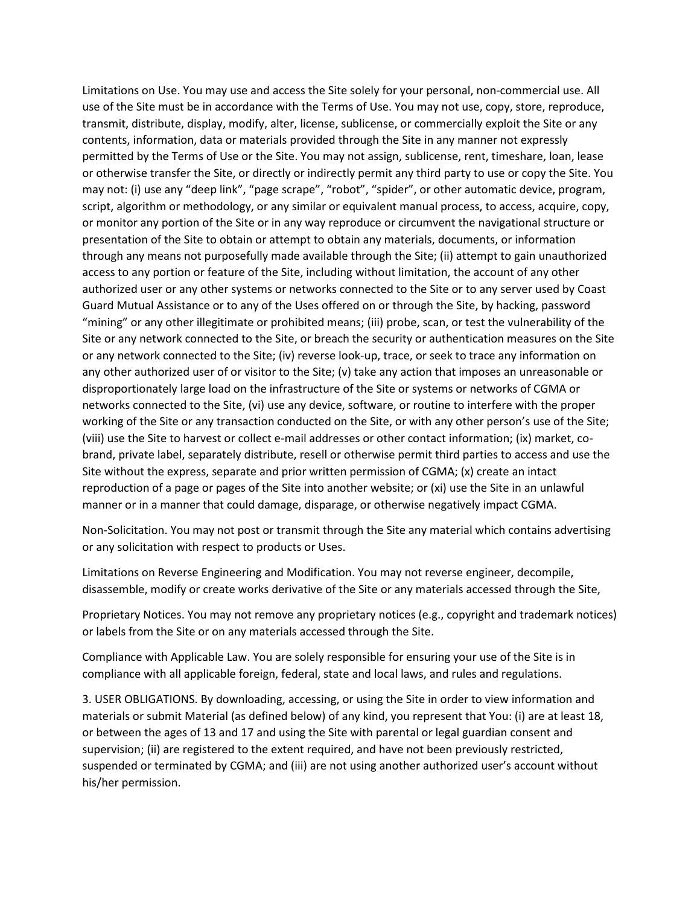Limitations on Use. You may use and access the Site solely for your personal, non-commercial use. All use of the Site must be in accordance with the Terms of Use. You may not use, copy, store, reproduce, transmit, distribute, display, modify, alter, license, sublicense, or commercially exploit the Site or any contents, information, data or materials provided through the Site in any manner not expressly permitted by the Terms of Use or the Site. You may not assign, sublicense, rent, timeshare, loan, lease or otherwise transfer the Site, or directly or indirectly permit any third party to use or copy the Site. You may not: (i) use any "deep link", "page scrape", "robot", "spider", or other automatic device, program, script, algorithm or methodology, or any similar or equivalent manual process, to access, acquire, copy, or monitor any portion of the Site or in any way reproduce or circumvent the navigational structure or presentation of the Site to obtain or attempt to obtain any materials, documents, or information through any means not purposefully made available through the Site; (ii) attempt to gain unauthorized access to any portion or feature of the Site, including without limitation, the account of any other authorized user or any other systems or networks connected to the Site or to any server used by Coast Guard Mutual Assistance or to any of the Uses offered on or through the Site, by hacking, password "mining" or any other illegitimate or prohibited means; (iii) probe, scan, or test the vulnerability of the Site or any network connected to the Site, or breach the security or authentication measures on the Site or any network connected to the Site; (iv) reverse look-up, trace, or seek to trace any information on any other authorized user of or visitor to the Site; (v) take any action that imposes an unreasonable or disproportionately large load on the infrastructure of the Site or systems or networks of CGMA or networks connected to the Site, (vi) use any device, software, or routine to interfere with the proper working of the Site or any transaction conducted on the Site, or with any other person's use of the Site; (viii) use the Site to harvest or collect e-mail addresses or other contact information; (ix) market, cobrand, private label, separately distribute, resell or otherwise permit third parties to access and use the Site without the express, separate and prior written permission of CGMA; (x) create an intact reproduction of a page or pages of the Site into another website; or (xi) use the Site in an unlawful manner or in a manner that could damage, disparage, or otherwise negatively impact CGMA.

Non-Solicitation. You may not post or transmit through the Site any material which contains advertising or any solicitation with respect to products or Uses.

Limitations on Reverse Engineering and Modification. You may not reverse engineer, decompile, disassemble, modify or create works derivative of the Site or any materials accessed through the Site,

Proprietary Notices. You may not remove any proprietary notices (e.g., copyright and trademark notices) or labels from the Site or on any materials accessed through the Site.

Compliance with Applicable Law. You are solely responsible for ensuring your use of the Site is in compliance with all applicable foreign, federal, state and local laws, and rules and regulations.

3. USER OBLIGATIONS. By downloading, accessing, or using the Site in order to view information and materials or submit Material (as defined below) of any kind, you represent that You: (i) are at least 18, or between the ages of 13 and 17 and using the Site with parental or legal guardian consent and supervision; (ii) are registered to the extent required, and have not been previously restricted, suspended or terminated by CGMA; and (iii) are not using another authorized user's account without his/her permission.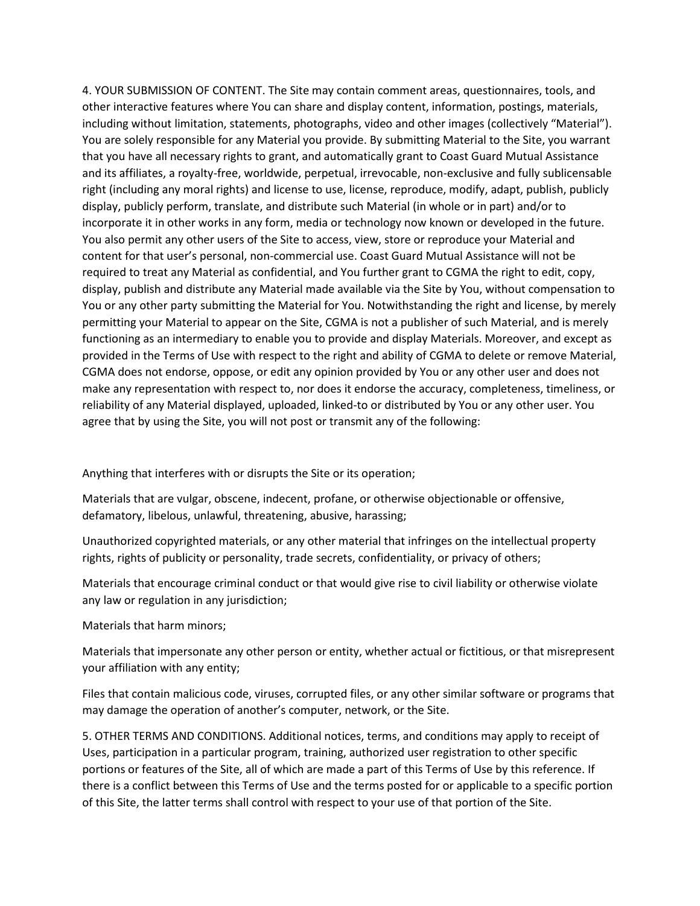4. YOUR SUBMISSION OF CONTENT. The Site may contain comment areas, questionnaires, tools, and other interactive features where You can share and display content, information, postings, materials, including without limitation, statements, photographs, video and other images (collectively "Material"). You are solely responsible for any Material you provide. By submitting Material to the Site, you warrant that you have all necessary rights to grant, and automatically grant to Coast Guard Mutual Assistance and its affiliates, a royalty-free, worldwide, perpetual, irrevocable, non-exclusive and fully sublicensable right (including any moral rights) and license to use, license, reproduce, modify, adapt, publish, publicly display, publicly perform, translate, and distribute such Material (in whole or in part) and/or to incorporate it in other works in any form, media or technology now known or developed in the future. You also permit any other users of the Site to access, view, store or reproduce your Material and content for that user's personal, non-commercial use. Coast Guard Mutual Assistance will not be required to treat any Material as confidential, and You further grant to CGMA the right to edit, copy, display, publish and distribute any Material made available via the Site by You, without compensation to You or any other party submitting the Material for You. Notwithstanding the right and license, by merely permitting your Material to appear on the Site, CGMA is not a publisher of such Material, and is merely functioning as an intermediary to enable you to provide and display Materials. Moreover, and except as provided in the Terms of Use with respect to the right and ability of CGMA to delete or remove Material, CGMA does not endorse, oppose, or edit any opinion provided by You or any other user and does not make any representation with respect to, nor does it endorse the accuracy, completeness, timeliness, or reliability of any Material displayed, uploaded, linked-to or distributed by You or any other user. You agree that by using the Site, you will not post or transmit any of the following:

Anything that interferes with or disrupts the Site or its operation;

Materials that are vulgar, obscene, indecent, profane, or otherwise objectionable or offensive, defamatory, libelous, unlawful, threatening, abusive, harassing;

Unauthorized copyrighted materials, or any other material that infringes on the intellectual property rights, rights of publicity or personality, trade secrets, confidentiality, or privacy of others;

Materials that encourage criminal conduct or that would give rise to civil liability or otherwise violate any law or regulation in any jurisdiction;

Materials that harm minors;

Materials that impersonate any other person or entity, whether actual or fictitious, or that misrepresent your affiliation with any entity;

Files that contain malicious code, viruses, corrupted files, or any other similar software or programs that may damage the operation of another's computer, network, or the Site.

5. OTHER TERMS AND CONDITIONS. Additional notices, terms, and conditions may apply to receipt of Uses, participation in a particular program, training, authorized user registration to other specific portions or features of the Site, all of which are made a part of this Terms of Use by this reference. If there is a conflict between this Terms of Use and the terms posted for or applicable to a specific portion of this Site, the latter terms shall control with respect to your use of that portion of the Site.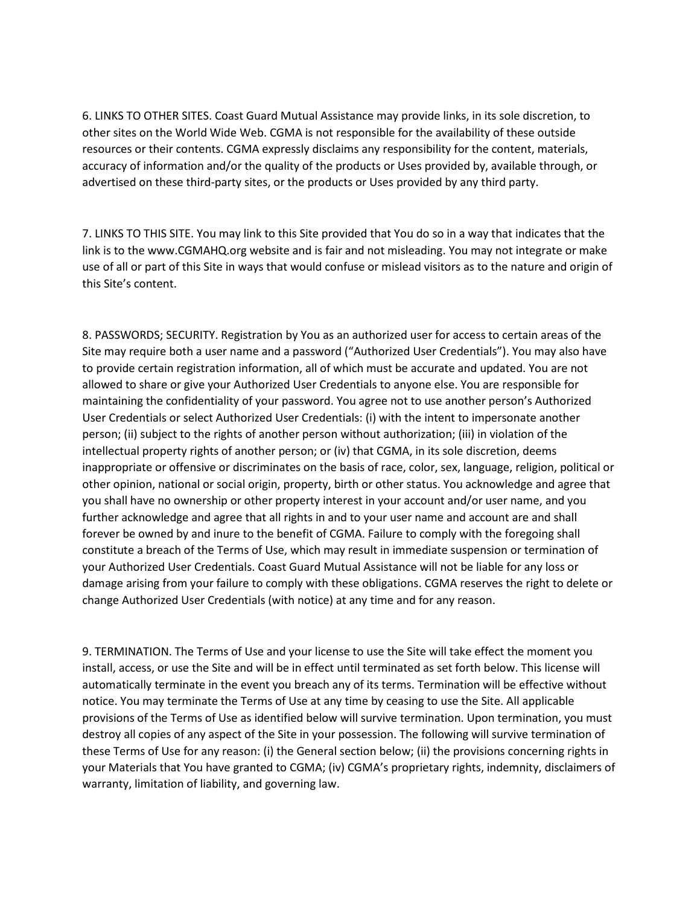6. LINKS TO OTHER SITES. Coast Guard Mutual Assistance may provide links, in its sole discretion, to other sites on the World Wide Web. CGMA is not responsible for the availability of these outside resources or their contents. CGMA expressly disclaims any responsibility for the content, materials, accuracy of information and/or the quality of the products or Uses provided by, available through, or advertised on these third-party sites, or the products or Uses provided by any third party.

7. LINKS TO THIS SITE. You may link to this Site provided that You do so in a way that indicates that the link is to the www.CGMAHQ.org website and is fair and not misleading. You may not integrate or make use of all or part of this Site in ways that would confuse or mislead visitors as to the nature and origin of this Site's content.

8. PASSWORDS; SECURITY. Registration by You as an authorized user for access to certain areas of the Site may require both a user name and a password ("Authorized User Credentials"). You may also have to provide certain registration information, all of which must be accurate and updated. You are not allowed to share or give your Authorized User Credentials to anyone else. You are responsible for maintaining the confidentiality of your password. You agree not to use another person's Authorized User Credentials or select Authorized User Credentials: (i) with the intent to impersonate another person; (ii) subject to the rights of another person without authorization; (iii) in violation of the intellectual property rights of another person; or (iv) that CGMA, in its sole discretion, deems inappropriate or offensive or discriminates on the basis of race, color, sex, language, religion, political or other opinion, national or social origin, property, birth or other status. You acknowledge and agree that you shall have no ownership or other property interest in your account and/or user name, and you further acknowledge and agree that all rights in and to your user name and account are and shall forever be owned by and inure to the benefit of CGMA. Failure to comply with the foregoing shall constitute a breach of the Terms of Use, which may result in immediate suspension or termination of your Authorized User Credentials. Coast Guard Mutual Assistance will not be liable for any loss or damage arising from your failure to comply with these obligations. CGMA reserves the right to delete or change Authorized User Credentials (with notice) at any time and for any reason.

9. TERMINATION. The Terms of Use and your license to use the Site will take effect the moment you install, access, or use the Site and will be in effect until terminated as set forth below. This license will automatically terminate in the event you breach any of its terms. Termination will be effective without notice. You may terminate the Terms of Use at any time by ceasing to use the Site. All applicable provisions of the Terms of Use as identified below will survive termination. Upon termination, you must destroy all copies of any aspect of the Site in your possession. The following will survive termination of these Terms of Use for any reason: (i) the General section below; (ii) the provisions concerning rights in your Materials that You have granted to CGMA; (iv) CGMA's proprietary rights, indemnity, disclaimers of warranty, limitation of liability, and governing law.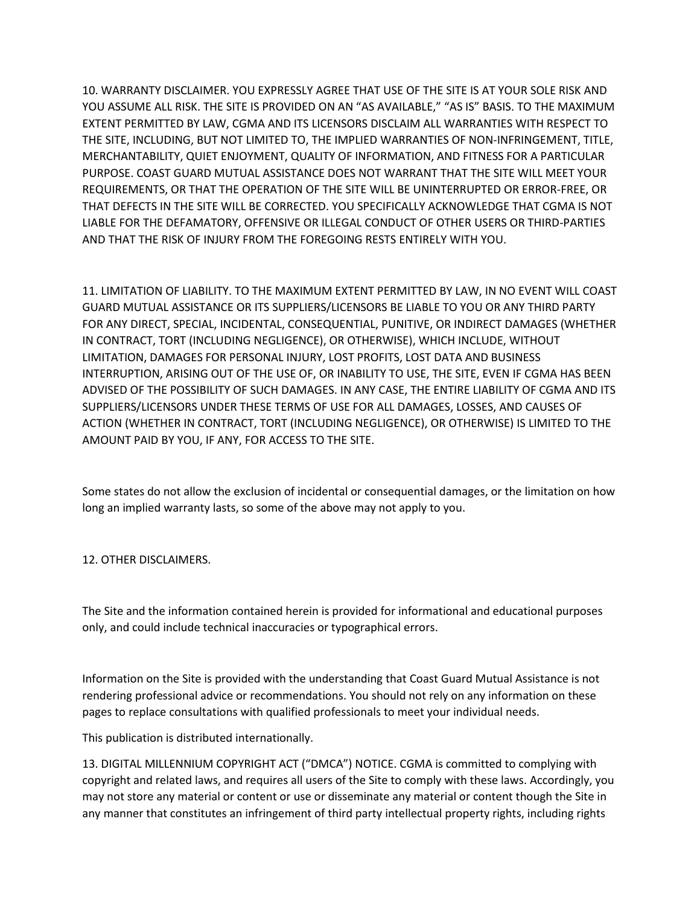10. WARRANTY DISCLAIMER. YOU EXPRESSLY AGREE THAT USE OF THE SITE IS AT YOUR SOLE RISK AND YOU ASSUME ALL RISK. THE SITE IS PROVIDED ON AN "AS AVAILABLE," "AS IS" BASIS. TO THE MAXIMUM EXTENT PERMITTED BY LAW, CGMA AND ITS LICENSORS DISCLAIM ALL WARRANTIES WITH RESPECT TO THE SITE, INCLUDING, BUT NOT LIMITED TO, THE IMPLIED WARRANTIES OF NON-INFRINGEMENT, TITLE, MERCHANTABILITY, QUIET ENJOYMENT, QUALITY OF INFORMATION, AND FITNESS FOR A PARTICULAR PURPOSE. COAST GUARD MUTUAL ASSISTANCE DOES NOT WARRANT THAT THE SITE WILL MEET YOUR REQUIREMENTS, OR THAT THE OPERATION OF THE SITE WILL BE UNINTERRUPTED OR ERROR-FREE, OR THAT DEFECTS IN THE SITE WILL BE CORRECTED. YOU SPECIFICALLY ACKNOWLEDGE THAT CGMA IS NOT LIABLE FOR THE DEFAMATORY, OFFENSIVE OR ILLEGAL CONDUCT OF OTHER USERS OR THIRD-PARTIES AND THAT THE RISK OF INJURY FROM THE FOREGOING RESTS ENTIRELY WITH YOU.

11. LIMITATION OF LIABILITY. TO THE MAXIMUM EXTENT PERMITTED BY LAW, IN NO EVENT WILL COAST GUARD MUTUAL ASSISTANCE OR ITS SUPPLIERS/LICENSORS BE LIABLE TO YOU OR ANY THIRD PARTY FOR ANY DIRECT, SPECIAL, INCIDENTAL, CONSEQUENTIAL, PUNITIVE, OR INDIRECT DAMAGES (WHETHER IN CONTRACT, TORT (INCLUDING NEGLIGENCE), OR OTHERWISE), WHICH INCLUDE, WITHOUT LIMITATION, DAMAGES FOR PERSONAL INJURY, LOST PROFITS, LOST DATA AND BUSINESS INTERRUPTION, ARISING OUT OF THE USE OF, OR INABILITY TO USE, THE SITE, EVEN IF CGMA HAS BEEN ADVISED OF THE POSSIBILITY OF SUCH DAMAGES. IN ANY CASE, THE ENTIRE LIABILITY OF CGMA AND ITS SUPPLIERS/LICENSORS UNDER THESE TERMS OF USE FOR ALL DAMAGES, LOSSES, AND CAUSES OF ACTION (WHETHER IN CONTRACT, TORT (INCLUDING NEGLIGENCE), OR OTHERWISE) IS LIMITED TO THE AMOUNT PAID BY YOU, IF ANY, FOR ACCESS TO THE SITE.

Some states do not allow the exclusion of incidental or consequential damages, or the limitation on how long an implied warranty lasts, so some of the above may not apply to you.

12. OTHER DISCLAIMERS.

The Site and the information contained herein is provided for informational and educational purposes only, and could include technical inaccuracies or typographical errors.

Information on the Site is provided with the understanding that Coast Guard Mutual Assistance is not rendering professional advice or recommendations. You should not rely on any information on these pages to replace consultations with qualified professionals to meet your individual needs.

This publication is distributed internationally.

13. DIGITAL MILLENNIUM COPYRIGHT ACT ("DMCA") NOTICE. CGMA is committed to complying with copyright and related laws, and requires all users of the Site to comply with these laws. Accordingly, you may not store any material or content or use or disseminate any material or content though the Site in any manner that constitutes an infringement of third party intellectual property rights, including rights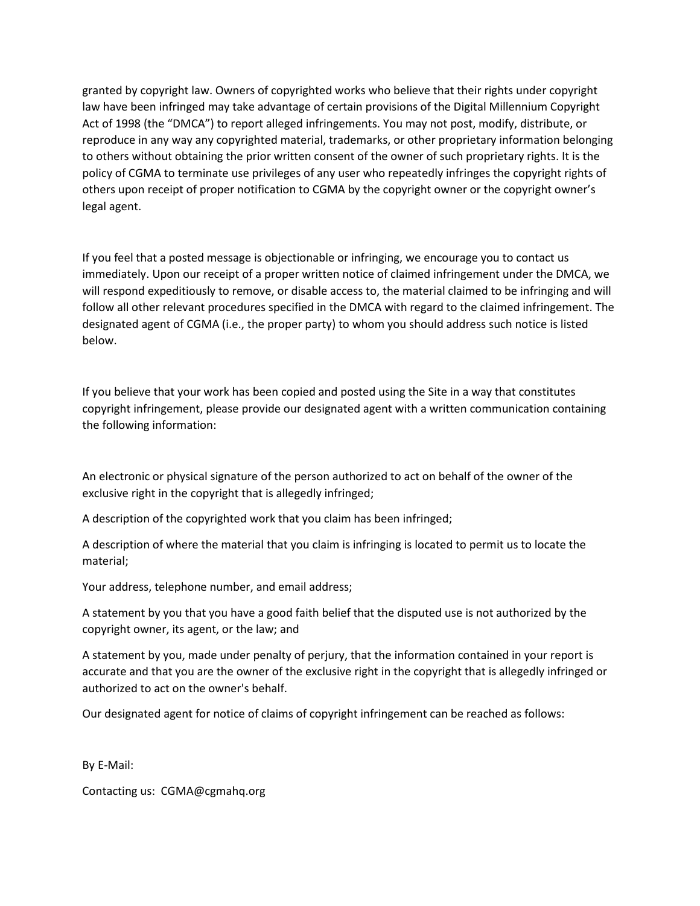granted by copyright law. Owners of copyrighted works who believe that their rights under copyright law have been infringed may take advantage of certain provisions of the Digital Millennium Copyright Act of 1998 (the "DMCA") to report alleged infringements. You may not post, modify, distribute, or reproduce in any way any copyrighted material, trademarks, or other proprietary information belonging to others without obtaining the prior written consent of the owner of such proprietary rights. It is the policy of CGMA to terminate use privileges of any user who repeatedly infringes the copyright rights of others upon receipt of proper notification to CGMA by the copyright owner or the copyright owner's legal agent.

If you feel that a posted message is objectionable or infringing, we encourage you to contact us immediately. Upon our receipt of a proper written notice of claimed infringement under the DMCA, we will respond expeditiously to remove, or disable access to, the material claimed to be infringing and will follow all other relevant procedures specified in the DMCA with regard to the claimed infringement. The designated agent of CGMA (i.e., the proper party) to whom you should address such notice is listed below.

If you believe that your work has been copied and posted using the Site in a way that constitutes copyright infringement, please provide our designated agent with a written communication containing the following information:

An electronic or physical signature of the person authorized to act on behalf of the owner of the exclusive right in the copyright that is allegedly infringed;

A description of the copyrighted work that you claim has been infringed;

A description of where the material that you claim is infringing is located to permit us to locate the material;

Your address, telephone number, and email address;

A statement by you that you have a good faith belief that the disputed use is not authorized by the copyright owner, its agent, or the law; and

A statement by you, made under penalty of perjury, that the information contained in your report is accurate and that you are the owner of the exclusive right in the copyright that is allegedly infringed or authorized to act on the owner's behalf.

Our designated agent for notice of claims of copyright infringement can be reached as follows:

By E-Mail:

Contacting us: CGMA@cgmahq.org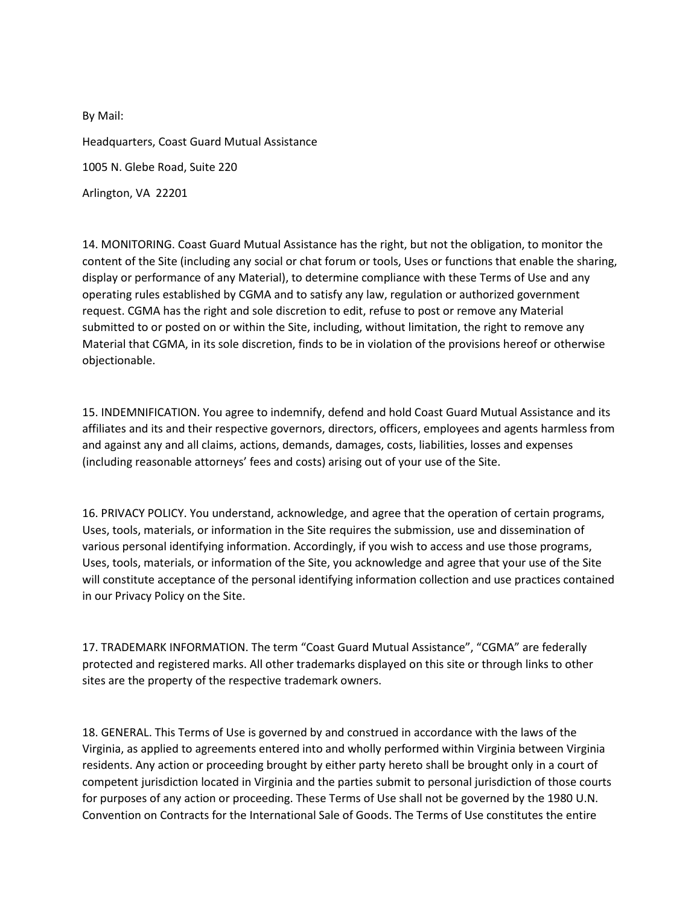By Mail: Headquarters, Coast Guard Mutual Assistance 1005 N. Glebe Road, Suite 220 Arlington, VA 22201

14. MONITORING. Coast Guard Mutual Assistance has the right, but not the obligation, to monitor the content of the Site (including any social or chat forum or tools, Uses or functions that enable the sharing, display or performance of any Material), to determine compliance with these Terms of Use and any operating rules established by CGMA and to satisfy any law, regulation or authorized government request. CGMA has the right and sole discretion to edit, refuse to post or remove any Material submitted to or posted on or within the Site, including, without limitation, the right to remove any Material that CGMA, in its sole discretion, finds to be in violation of the provisions hereof or otherwise objectionable.

15. INDEMNIFICATION. You agree to indemnify, defend and hold Coast Guard Mutual Assistance and its affiliates and its and their respective governors, directors, officers, employees and agents harmless from and against any and all claims, actions, demands, damages, costs, liabilities, losses and expenses (including reasonable attorneys' fees and costs) arising out of your use of the Site.

16. PRIVACY POLICY. You understand, acknowledge, and agree that the operation of certain programs, Uses, tools, materials, or information in the Site requires the submission, use and dissemination of various personal identifying information. Accordingly, if you wish to access and use those programs, Uses, tools, materials, or information of the Site, you acknowledge and agree that your use of the Site will constitute acceptance of the personal identifying information collection and use practices contained in our Privacy Policy on the Site.

17. TRADEMARK INFORMATION. The term "Coast Guard Mutual Assistance", "CGMA" are federally protected and registered marks. All other trademarks displayed on this site or through links to other sites are the property of the respective trademark owners.

18. GENERAL. This Terms of Use is governed by and construed in accordance with the laws of the Virginia, as applied to agreements entered into and wholly performed within Virginia between Virginia residents. Any action or proceeding brought by either party hereto shall be brought only in a court of competent jurisdiction located in Virginia and the parties submit to personal jurisdiction of those courts for purposes of any action or proceeding. These Terms of Use shall not be governed by the 1980 U.N. Convention on Contracts for the International Sale of Goods. The Terms of Use constitutes the entire